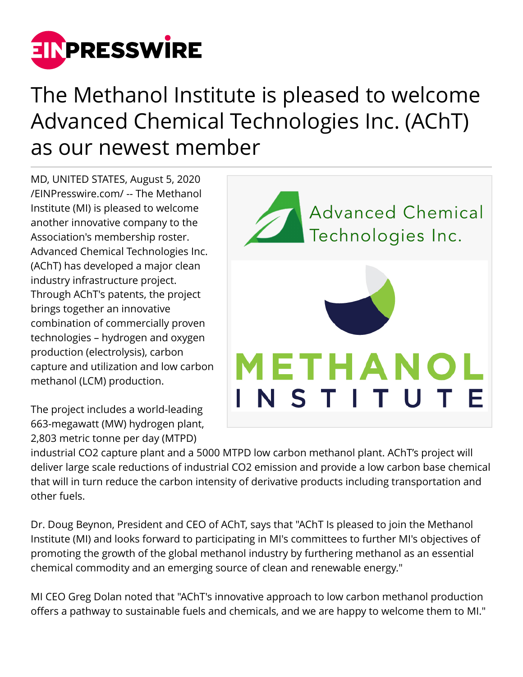

## The Methanol Institute is pleased to welcome Advanced Chemical Technologies Inc. (AChT) as our newest member

MD, UNITED STATES, August 5, 2020 [/EINPresswire.com/](http://www.einpresswire.com) -- The Methanol Institute (MI) is pleased to welcome another innovative company to the Association's membership roster. Advanced Chemical Technologies Inc. (AChT) has developed a major clean industry infrastructure project. Through AChT's patents, the project brings together an innovative combination of commercially proven technologies – hydrogen and oxygen production (electrolysis), carbon capture and utilization and low carbon methanol (LCM) production.

The project includes a world-leading 663-megawatt (MW) hydrogen plant, 2,803 metric tonne per day (MTPD)



industrial CO2 capture plant and a 5000 MTPD low carbon methanol plant. AChT's project will deliver large scale reductions of industrial CO2 emission and provide a low carbon base chemical that will in turn reduce the carbon intensity of derivative products including transportation and other fuels.

Dr. Doug Beynon, President and CEO of AChT, says that "AChT Is pleased to join the Methanol Institute (MI) and looks forward to participating in MI's committees to further MI's objectives of promoting the growth of the global methanol industry by furthering methanol as an essential chemical commodity and an emerging source of clean and renewable energy."

MI CEO Greg Dolan noted that "AChT's innovative approach to low carbon methanol production offers a pathway to sustainable fuels and chemicals, and we are happy to welcome them to MI."